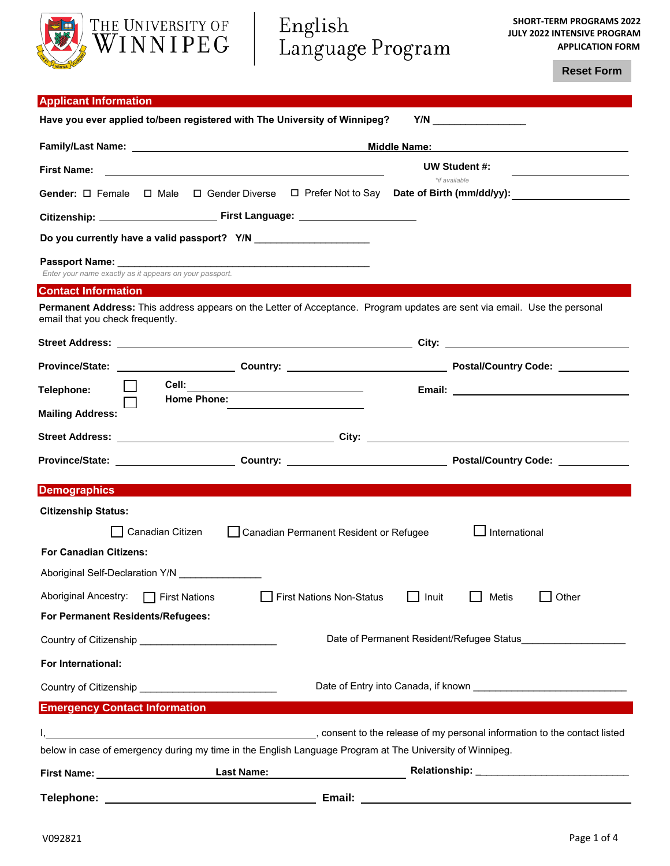

**Reset Form**

| <b>Applicant Information</b>                                                                                                                                  |                                           |  |  |  |  |
|---------------------------------------------------------------------------------------------------------------------------------------------------------------|-------------------------------------------|--|--|--|--|
| Have you ever applied to/been registered with The University of Winnipeg?                                                                                     |                                           |  |  |  |  |
| Middle Name:                                                                                                                                                  |                                           |  |  |  |  |
| <b>First Name:</b><br>and the control of the control of the control of the control of the control of the control of the control of the                        | UW Student #:                             |  |  |  |  |
| Gender: $\Box$ Female $\Box$ Male $\Box$ Gender Diverse $\Box$ Prefer Not to Say Date of Birth (mm/dd/yy):                                                    | *if available                             |  |  |  |  |
|                                                                                                                                                               |                                           |  |  |  |  |
|                                                                                                                                                               |                                           |  |  |  |  |
|                                                                                                                                                               |                                           |  |  |  |  |
| Enter your name exactly as it appears on your passport.                                                                                                       |                                           |  |  |  |  |
| <b>Contact Information</b>                                                                                                                                    |                                           |  |  |  |  |
| Permanent Address: This address appears on the Letter of Acceptance. Program updates are sent via email. Use the personal<br>email that you check frequently. |                                           |  |  |  |  |
|                                                                                                                                                               |                                           |  |  |  |  |
|                                                                                                                                                               |                                           |  |  |  |  |
| Telephone:<br><b>Home Phone:</b>                                                                                                                              |                                           |  |  |  |  |
| <b>Mailing Address:</b>                                                                                                                                       |                                           |  |  |  |  |
|                                                                                                                                                               |                                           |  |  |  |  |
|                                                                                                                                                               |                                           |  |  |  |  |
| <b>Demographics</b>                                                                                                                                           |                                           |  |  |  |  |
| <b>Citizenship Status:</b>                                                                                                                                    |                                           |  |  |  |  |
| Canadian Citizen<br>Canadian Permanent Resident or Refugee                                                                                                    | International                             |  |  |  |  |
| <b>For Canadian Citizens:</b>                                                                                                                                 |                                           |  |  |  |  |
|                                                                                                                                                               |                                           |  |  |  |  |
| Aboriginal Self-Declaration Y/N                                                                                                                               |                                           |  |  |  |  |
| Aboriginal Ancestry: □ First Nations<br><b>First Nations Non-Status</b>                                                                                       | Other<br>Inuit<br>Metis                   |  |  |  |  |
| For Permanent Residents/Refugees:                                                                                                                             |                                           |  |  |  |  |
|                                                                                                                                                               | Date of Permanent Resident/Refugee Status |  |  |  |  |
| For International:                                                                                                                                            |                                           |  |  |  |  |
| Country of Citizenship ______________________________                                                                                                         |                                           |  |  |  |  |
| <b>Emergency Contact Information</b>                                                                                                                          |                                           |  |  |  |  |
| consent to the release of my personal information to the contact listed                                                                                       |                                           |  |  |  |  |
| below in case of emergency during my time in the English Language Program at The University of Winnipeg.                                                      |                                           |  |  |  |  |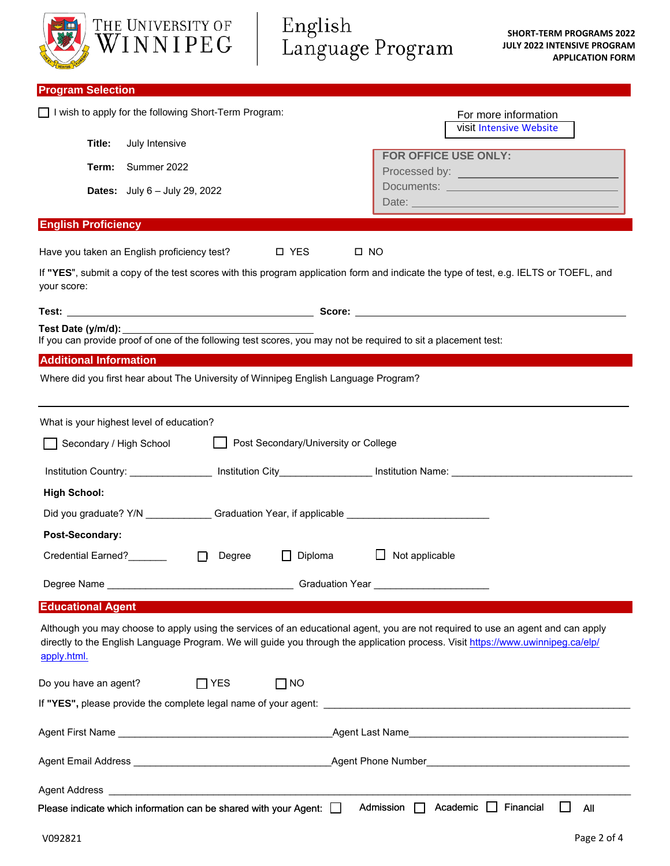| THE UNIVERSITY OF<br>WINNIPEG                                                                                                                                                                                                                                                      | English<br>Language Program             | <b>SHORT-TERM PROGRAMS 2022</b><br><b>JULY 2022 INTENSIVE PROGRAM</b><br><b>APPLICATION FORM</b> |
|------------------------------------------------------------------------------------------------------------------------------------------------------------------------------------------------------------------------------------------------------------------------------------|-----------------------------------------|--------------------------------------------------------------------------------------------------|
| <b>Program Selection</b>                                                                                                                                                                                                                                                           |                                         |                                                                                                  |
| I wish to apply for the following Short-Term Program:                                                                                                                                                                                                                              |                                         | For more information<br>visit Intensive Website                                                  |
| Title:<br>July Intensive                                                                                                                                                                                                                                                           |                                         |                                                                                                  |
| Summer 2022<br>Term:                                                                                                                                                                                                                                                               | FOR OFFICE USE ONLY:                    |                                                                                                  |
| <b>Dates:</b> July 6 - July 29, 2022                                                                                                                                                                                                                                               |                                         | Date:                                                                                            |
| <b>English Proficiency</b>                                                                                                                                                                                                                                                         |                                         |                                                                                                  |
| Have you taken an English proficiency test?                                                                                                                                                                                                                                        | □ YES<br>$\square$ NO                   |                                                                                                  |
| If "YES", submit a copy of the test scores with this program application form and indicate the type of test, e.g. IELTS or TOEFL, and<br>your score:                                                                                                                               |                                         |                                                                                                  |
|                                                                                                                                                                                                                                                                                    |                                         |                                                                                                  |
| Test Date (y/m/d):<br>If you can provide proof of one of the following test scores, you may not be required to sit a placement test:                                                                                                                                               |                                         |                                                                                                  |
| <b>Additional Information</b>                                                                                                                                                                                                                                                      |                                         |                                                                                                  |
| Where did you first hear about The University of Winnipeg English Language Program?                                                                                                                                                                                                |                                         |                                                                                                  |
| What is your highest level of education?                                                                                                                                                                                                                                           |                                         |                                                                                                  |
| Secondary / High School                                                                                                                                                                                                                                                            | Post Secondary/University or College    |                                                                                                  |
| Institution Country: __________________ Institution City_________________________ Institution Name: __________                                                                                                                                                                     |                                         |                                                                                                  |
| <b>High School:</b>                                                                                                                                                                                                                                                                |                                         |                                                                                                  |
| Did you graduate? Y/N ______________Graduation Year, if applicable _________________________________                                                                                                                                                                               |                                         |                                                                                                  |
| Post-Secondary:                                                                                                                                                                                                                                                                    |                                         |                                                                                                  |
| Credential Earned?<br><u>Letter and the set of the set of the set of the set of the set of the set of the set of the set of the set of the set of the set of the set of the set of the set of the set of the set of the set of the</u><br>Degree<br>$\Box$                         | Not applicable<br>Diploma               |                                                                                                  |
|                                                                                                                                                                                                                                                                                    | Graduation Year _______________________ |                                                                                                  |
| <b>Educational Agent</b>                                                                                                                                                                                                                                                           |                                         |                                                                                                  |
| Although you may choose to apply using the services of an educational agent, you are not required to use an agent and can apply<br>directly to the English Language Program. We will guide you through the application process. Visit https://www.uwinnipeg.ca/elp/<br>apply.html. |                                         |                                                                                                  |
| Do you have an agent?<br>$\Box$ YES                                                                                                                                                                                                                                                | $\Box$ NO                               |                                                                                                  |
|                                                                                                                                                                                                                                                                                    |                                         |                                                                                                  |
|                                                                                                                                                                                                                                                                                    |                                         |                                                                                                  |
|                                                                                                                                                                                                                                                                                    |                                         |                                                                                                  |
| Agent Address entertainment and the contract of the contract of the contract of the contract of the contract of                                                                                                                                                                    |                                         |                                                                                                  |
| Please indicate which information can be shared with your Agent: $\Box$                                                                                                                                                                                                            | Admission $\Box$                        | Academic $\Box$ Financial<br>All                                                                 |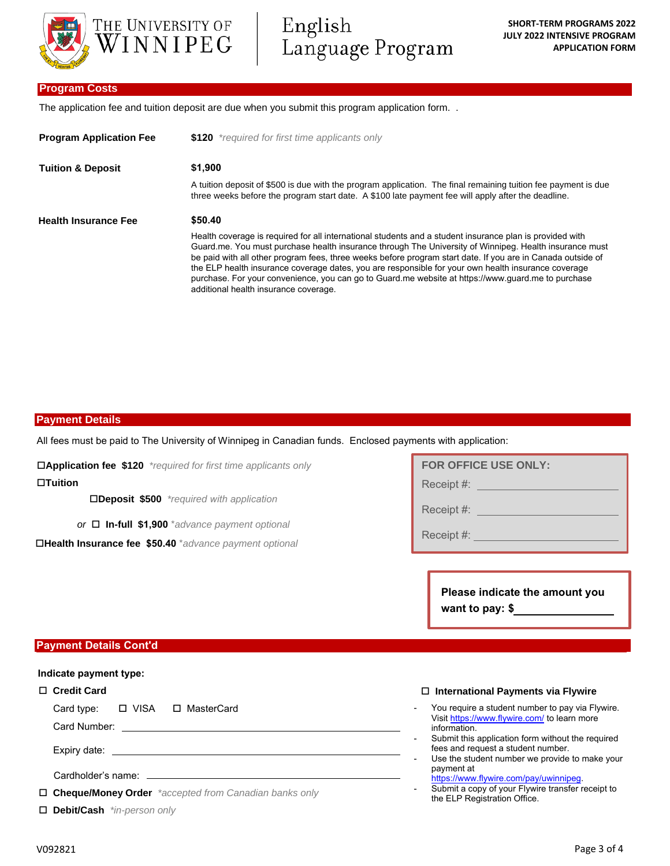

English Language Program

### **Program Costs**

The application fee and tuition deposit are due when you submit this program application form. .

| <b>Program Application Fee</b> | \$120 *required for first time applicants only                                                                                                                                                                                                                                                                                                                                                                                                                                                                                                                                          |  |  |  |  |
|--------------------------------|-----------------------------------------------------------------------------------------------------------------------------------------------------------------------------------------------------------------------------------------------------------------------------------------------------------------------------------------------------------------------------------------------------------------------------------------------------------------------------------------------------------------------------------------------------------------------------------------|--|--|--|--|
| <b>Tuition &amp; Deposit</b>   | \$1,900                                                                                                                                                                                                                                                                                                                                                                                                                                                                                                                                                                                 |  |  |  |  |
|                                | A tuition deposit of \$500 is due with the program application. The final remaining tuition fee payment is due<br>three weeks before the program start date. A \$100 late payment fee will apply after the deadline.                                                                                                                                                                                                                                                                                                                                                                    |  |  |  |  |
| <b>Health Insurance Fee</b>    | \$50.40                                                                                                                                                                                                                                                                                                                                                                                                                                                                                                                                                                                 |  |  |  |  |
|                                | Health coverage is required for all international students and a student insurance plan is provided with<br>Guard me. You must purchase health insurance through The University of Winnipeg. Health insurance must<br>be paid with all other program fees, three weeks before program start date. If you are in Canada outside of<br>the ELP health insurance coverage dates, you are responsible for your own health insurance coverage<br>purchase. For your convenience, you can go to Guard me website at https://www.guard.me to purchase<br>additional health insurance coverage. |  |  |  |  |

### **Payment Details**

All fees must be paid to The University of Winnipeg in Canadian funds. Enclosed payments with application:

**Application fee \$120** *\*required for first time applicants only*

**Tuition**

**Deposit \$500** *\*required with application*

*or* **In-full \$1,900** \**advance payment optional*

**Health Insurance fee \$50.40** \**advance payment optional*

# **FOR OFFICE USE ONLY:** Receipt #: **Example 2014**

Receipt #:

Receipt #: **Example 2014** 

**Please indicate the amount you want to pay: \$**

### **Payment Details Cont'd**

### **Indicate payment type:**

#### **Credit Card**

Card type: □ VISA □ MasterCard

Card Number:

Expiry date:

Cardholder's name:

**Cheque/Money Order** *\*accepted from Canadian banks only* 

**Debit/Cash** *\*in-person only*

#### **International Payments via Flywire**

- You require a student number to pay via Flywire. Visit https://www.flywire.com/ to learn more information.
- Submit this application form without the required fees and request a student number.
- Use the student number we provide to make your payment at
- https://www.flywire.com/pay/uwinnipeg. Submit a copy of your Flywire transfer receipt to
- the ELP Registration Office.